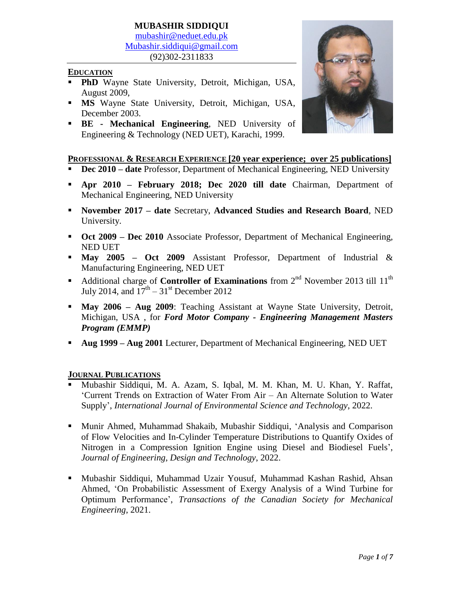#### **MUBASHIR SIDDIQUI** [mubashir@neduet.edu.pk](mailto:mubashir@neduet.edu.pk) [Mubashir.siddiqui@gmail.com](mailto:Mubashir.siddiqui@gmail.com) (92)302-2311833

#### **EDUCATION**

- **PhD** Wayne State University, Detroit, Michigan, USA, August 2009,
- **MS** Wayne State University, Detroit, Michigan, USA, December 2003.
- **BE - Mechanical Engineering**, NED University of Engineering & Technology (NED UET), Karachi, 1999.



### **PROFESSIONAL & RESEARCH EXPERIENCE [20 year experience; over 25 publications]**

- **Dec 2010 – date** Professor, Department of Mechanical Engineering, NED University
- **Apr 2010 – February 2018; Dec 2020 till date** Chairman, Department of Mechanical Engineering, NED University
- **November 2017 – date** Secretary, **Advanced Studies and Research Board**, NED University.
- **Oct 2009 – Dec 2010** Associate Professor, Department of Mechanical Engineering, NED UET
- **May 2005 – Oct 2009** Assistant Professor, Department of Industrial & Manufacturing Engineering, NED UET
- **•** Additional charge of **Controller of Examinations** from 2<sup>nd</sup> November 2013 till 11<sup>th</sup> July 2014, and  $17^{\text{th}} - 31^{\text{st}}$  December 2012
- **May 2006 – Aug 2009**: Teaching Assistant at Wayne State University, Detroit, Michigan, USA , for *Ford Motor Company - Engineering Management Masters Program (EMMP)*
- **Aug 1999 – Aug 2001** Lecturer, Department of Mechanical Engineering, NED UET

#### **JOURNAL PUBLICATIONS**

- Mubashir Siddiqui, M. A. Azam, S. Iqbal, M. M. Khan, M. U. Khan, Y. Raffat, 'Current Trends on Extraction of Water From Air – An Alternate Solution to Water Supply', *International Journal of Environmental Science and Technology*, 2022.
- Munir Ahmed, Muhammad Shakaib, Mubashir Siddiqui, 'Analysis and Comparison of Flow Velocities and In-Cylinder Temperature Distributions to Quantify Oxides of Nitrogen in a Compression Ignition Engine using Diesel and Biodiesel Fuels', *Journal of Engineering, Design and Technology*, 2022.
- Mubashir Siddiqui, Muhammad Uzair Yousuf, Muhammad Kashan Rashid, Ahsan Ahmed, 'On Probabilistic Assessment of Exergy Analysis of a Wind Turbine for Optimum Performance', *Transactions of the Canadian Society for Mechanical Engineering*, 2021.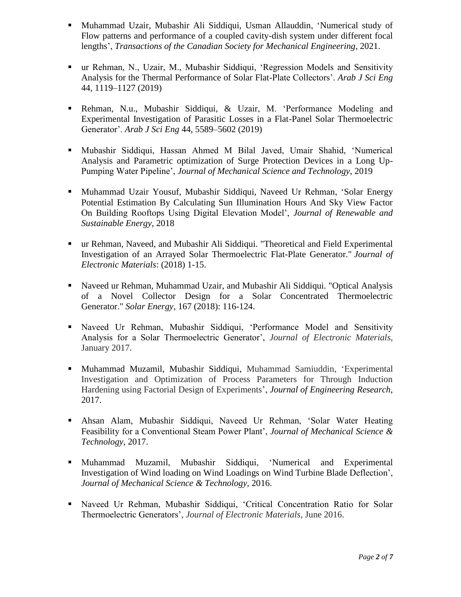- Muhammad Uzair, Mubashir Ali Siddiqui, Usman Allauddin, 'Numerical study of Flow patterns and performance of a coupled cavity-dish system under different focal lengths', *Transactions of the Canadian Society for Mechanical Engineering*, 2021.
- ur Rehman, N., Uzair, M., Mubashir Siddiqui, 'Regression Models and Sensitivity Analysis for the Thermal Performance of Solar Flat-Plate Collectors'. *Arab J Sci Eng* 44, 1119–1127 (2019)
- Rehman, N.u., Mubashir Siddiqui, & Uzair, M. 'Performance Modeling and Experimental Investigation of Parasitic Losses in a Flat-Panel Solar Thermoelectric Generator'. *Arab J Sci Eng* 44, 5589–5602 (2019)
- Mubashir Siddiqui, Hassan Ahmed M Bilal Javed, Umair Shahid, 'Numerical Analysis and Parametric optimization of Surge Protection Devices in a Long Up-Pumping Water Pipeline', *Journal of Mechanical Science and Technology*, 2019
- Muhammad Uzair Yousuf, Mubashir Siddiqui, Naveed Ur Rehman, 'Solar Energy Potential Estimation By Calculating Sun Illumination Hours And Sky View Factor On Building Rooftops Using Digital Elevation Model', *Journal of Renewable and Sustainable Energy*, 2018
- ur Rehman, Naveed, and Mubashir Ali Siddiqui. "Theoretical and Field Experimental Investigation of an Arrayed Solar Thermoelectric Flat-Plate Generator." *Journal of Electronic Materials*: (2018) 1-15.
- Naveed ur Rehman, Muhammad Uzair, and Mubashir Ali Siddiqui. "Optical Analysis of a Novel Collector Design for a Solar Concentrated Thermoelectric Generator." *Solar Energy,* 167 (2018): 116-124.
- Naveed Ur Rehman, Mubashir Siddiqui, 'Performance Model and Sensitivity Analysis for a Solar Thermoelectric Generator', *Journal of Electronic Materials*, January 2017.
- Muhammad Muzamil, Mubashir Siddiqui, Muhammad Samiuddin, 'Experimental Investigation and Optimization of Process Parameters for Through Induction Hardening using Factorial Design of Experiments', *Journal of Engineering Research*, 2017.
- Ahsan Alam, Mubashir Siddiqui, Naveed Ur Rehman, 'Solar Water Heating Feasibility for a Conventional Steam Power Plant', *Journal of Mechanical Science & Technology*, 2017.
- Muhammad Muzamil, Mubashir Siddiqui, 'Numerical and Experimental Investigation of Wind loading on Wind Loadings on Wind Turbine Blade Deflection', *Journal of Mechanical Science & Technology,* 2016.
- Naveed Ur Rehman, Mubashir Siddiqui, 'Critical Concentration Ratio for Solar Thermoelectric Generators', *Journal of Electronic Materials*, June 2016.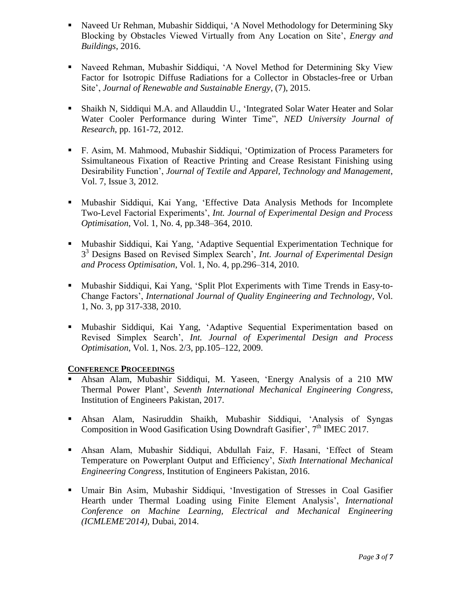- Naveed Ur Rehman, Mubashir Siddiqui, 'A Novel Methodology for Determining Sky Blocking by Obstacles Viewed Virtually from Any Location on Site', *Energy and Buildings*, 2016.
- Naveed Rehman, Mubashir Siddiqui, 'A Novel Method for Determining Sky View Factor for Isotropic Diffuse Radiations for a Collector in Obstacles-free or Urban Site', *Journal of Renewable and Sustainable Energy*, (7), 2015.
- Shaikh N, Siddiqui M.A. and Allauddin U., 'Integrated Solar Water Heater and Solar Water Cooler Performance during Winter Time", *NED University Journal of Research*, pp. 161-72, 2012.
- F. Asim, M. Mahmood, Mubashir Siddiqui, 'Optimization of Process Parameters for Ssimultaneous Fixation of Reactive Printing and Crease Resistant Finishing using Desirability Function', *Journal of Textile and Apparel, Technology and Management*, Vol. 7, Issue 3, 2012.
- Mubashir Siddiqui, Kai Yang, 'Effective Data Analysis Methods for Incomplete Two-Level Factorial Experiments', *Int. Journal of Experimental Design and Process Optimisation*, Vol. 1, No. 4, pp.348–364, 2010.
- Mubashir Siddiqui, Kai Yang, 'Adaptive Sequential Experimentation Technique for 3 <sup>3</sup> Designs Based on Revised Simplex Search'*, Int. Journal of Experimental Design and Process Optimisation*, Vol. 1, No. 4, pp.296–314, 2010.
- Mubashir Siddiqui, Kai Yang, 'Split Plot Experiments with Time Trends in Easy-to-Change Factors', *International Journal of Quality Engineering and Technology*, Vol. 1, No. 3, pp 317-338, 2010.
- Mubashir Siddiqui, Kai Yang, 'Adaptive Sequential Experimentation based on Revised Simplex Search', *Int. Journal of Experimental Design and Process Optimisation*, Vol. 1, Nos. 2/3, pp.105–122, 2009.

### **CONFERENCE PROCEEDINGS**

- Ahsan Alam, Mubashir Siddiqui, M. Yaseen, 'Energy Analysis of a 210 MW Thermal Power Plant', *Seventh International Mechanical Engineering Congress*, Institution of Engineers Pakistan, 2017.
- Ahsan Alam, Nasiruddin Shaikh, Mubashir Siddiqui, 'Analysis of Syngas Composition in Wood Gasification Using Downdraft Gasifier', 7<sup>th</sup> IMEC 2017.
- Ahsan Alam, Mubashir Siddiqui, Abdullah Faiz, F. Hasani, 'Effect of Steam Temperature on Powerplant Output and Efficiency', *Sixth International Mechanical Engineering Congress*, Institution of Engineers Pakistan, 2016.
- Umair Bin Asim, Mubashir Siddiqui, 'Investigation of Stresses in Coal Gasifier Hearth under Thermal Loading using Finite Element Analysis', *International Conference on Machine Learning, Electrical and Mechanical Engineering (ICMLEME'2014)*, Dubai, 2014.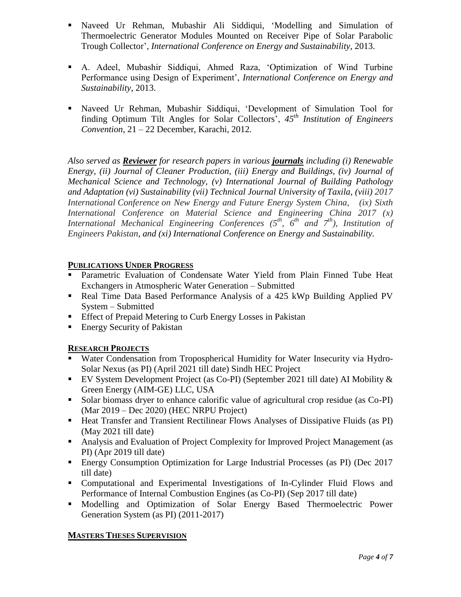- Naveed Ur Rehman, Mubashir Ali Siddiqui, 'Modelling and Simulation of Thermoelectric Generator Modules Mounted on Receiver Pipe of Solar Parabolic Trough Collector', *International Conference on Energy and Sustainability*, 2013.
- A. Adeel, Mubashir Siddiqui, Ahmed Raza, 'Optimization of Wind Turbine Performance using Design of Experiment', *International Conference on Energy and Sustainability*, 2013.
- Naveed Ur Rehman, Mubashir Siddiqui, 'Development of Simulation Tool for finding Optimum Tilt Angles for Solar Collectors', *45th Institution of Engineers Convention*, 21 – 22 December, Karachi, 2012.

*Also served as Reviewer for research papers in various journals including (i) Renewable Energy, (ii) Journal of Cleaner Production, (iii) Energy and Buildings, (iv) Journal of Mechanical Science and Technology, (v) International Journal of Building Pathology and Adaptation (vi) Sustainability (vii) Technical Journal University of Taxila, (viii) 2017 International Conference on New Energy and Future Energy System China, (ix) Sixth International Conference on Material Science and Engineering China 2017 (x) International Mechanical Engineering Conferences (5 th, 6th and 7th), Institution of Engineers Pakistan, and (xi) International Conference on Energy and Sustainability.*

### **PUBLICATIONS UNDER PROGRESS**

- Parametric Evaluation of Condensate Water Yield from Plain Finned Tube Heat Exchangers in Atmospheric Water Generation – Submitted
- Real Time Data Based Performance Analysis of a 425 kWp Building Applied PV System – Submitted
- **Effect of Prepaid Metering to Curb Energy Losses in Pakistan**
- **Energy Security of Pakistan**

# **RESEARCH PROJECTS**

- Water Condensation from Tropospherical Humidity for Water Insecurity via Hydro-Solar Nexus (as PI) (April 2021 till date) Sindh HEC Project
- EV System Development Project (as Co-PI) (September 2021 till date) AI Mobility  $\&$ Green Energy (AIM-GE) LLC, USA
- Solar biomass dryer to enhance calorific value of agricultural crop residue (as Co-PI) (Mar 2019 – Dec 2020) (HEC NRPU Project)
- Heat Transfer and Transient Rectilinear Flows Analyses of Dissipative Fluids (as PI) (May 2021 till date)
- Analysis and Evaluation of Project Complexity for Improved Project Management (as PI) (Apr 2019 till date)
- Energy Consumption Optimization for Large Industrial Processes (as PI) (Dec 2017 till date)
- Computational and Experimental Investigations of In-Cylinder Fluid Flows and Performance of Internal Combustion Engines (as Co-PI) (Sep 2017 till date)
- Modelling and Optimization of Solar Energy Based Thermoelectric Power Generation System (as PI) (2011-2017)

### **MASTERS THESES SUPERVISION**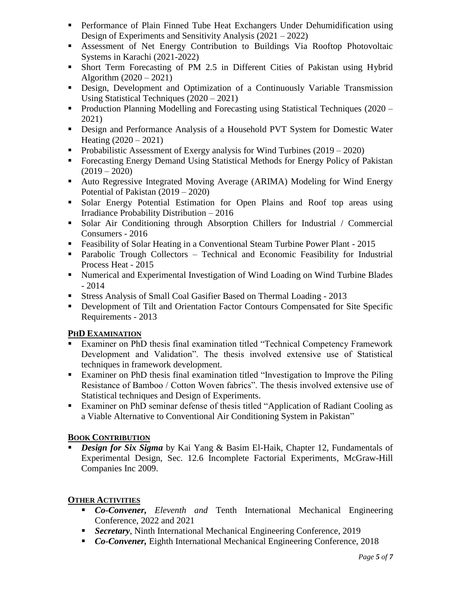- Performance of Plain Finned Tube Heat Exchangers Under Dehumidification using Design of Experiments and Sensitivity Analysis (2021 – 2022)
- Assessment of Net Energy Contribution to Buildings Via Rooftop Photovoltaic Systems in Karachi (2021-2022)
- Short Term Forecasting of PM 2.5 in Different Cities of Pakistan using Hybrid Algorithm (2020 – 2021)
- Design, Development and Optimization of a Continuously Variable Transmission Using Statistical Techniques (2020 – 2021)
- **Production Planning Modelling and Forecasting using Statistical Techniques (2020** 2021)
- Design and Performance Analysis of a Household PVT System for Domestic Water Heating (2020 – 2021)
- Probabilistic Assessment of Exergy analysis for Wind Turbines  $(2019 2020)$
- Forecasting Energy Demand Using Statistical Methods for Energy Policy of Pakistan  $(2019 - 2020)$
- Auto Regressive Integrated Moving Average (ARIMA) Modeling for Wind Energy Potential of Pakistan (2019 – 2020)
- Solar Energy Potential Estimation for Open Plains and Roof top areas using Irradiance Probability Distribution – 2016
- Solar Air Conditioning through Absorption Chillers for Industrial / Commercial Consumers - 2016
- Feasibility of Solar Heating in a Conventional Steam Turbine Power Plant 2015
- Parabolic Trough Collectors Technical and Economic Feasibility for Industrial Process Heat - 2015
- Numerical and Experimental Investigation of Wind Loading on Wind Turbine Blades - 2014
- Stress Analysis of Small Coal Gasifier Based on Thermal Loading 2013
- Development of Tilt and Orientation Factor Contours Compensated for Site Specific Requirements - 2013

### **PHD EXAMINATION**

- Examiner on PhD thesis final examination titled "Technical Competency Framework Development and Validation". The thesis involved extensive use of Statistical techniques in framework development.
- Examiner on PhD thesis final examination titled "Investigation to Improve the Piling Resistance of Bamboo / Cotton Woven fabrics". The thesis involved extensive use of Statistical techniques and Design of Experiments.
- Examiner on PhD seminar defense of thesis titled "Application of Radiant Cooling as a Viable Alternative to Conventional Air Conditioning System in Pakistan"

# **BOOK CONTRIBUTION**

 *Design for Six Sigma* by Kai Yang & Basim El-Haik, Chapter 12, Fundamentals of Experimental Design, Sec. 12.6 Incomplete Factorial Experiments, McGraw-Hill Companies Inc 2009.

# **OTHER ACTIVITIES**

- *Co-Convener, Eleventh and* Tenth International Mechanical Engineering Conference, 2022 and 2021
- *Secretary*, Ninth International Mechanical Engineering Conference, 2019
- *Co-Convener,* Eighth International Mechanical Engineering Conference, 2018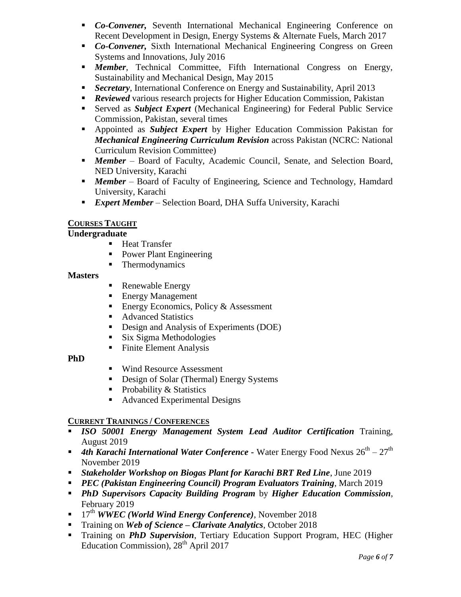- *Co-Convener,* Seventh International Mechanical Engineering Conference on Recent Development in Design, Energy Systems & Alternate Fuels, March 2017
- *Co-Convener,* Sixth International Mechanical Engineering Congress on Green Systems and Innovations, July 2016
- *Member*, Technical Committee, Fifth International Congress on Energy, Sustainability and Mechanical Design, May 2015
- *Secretary*, International Conference on Energy and Sustainability, April 2013
- **Reviewed** various research projects for Higher Education Commission, Pakistan
- Served as *Subject Expert* (Mechanical Engineering) for Federal Public Service Commission, Pakistan, several times
- Appointed as *Subject Expert* by Higher Education Commission Pakistan for *Mechanical Engineering Curriculum Revision* across Pakistan (NCRC: National Curriculum Revision Committee)
- *Member* Board of Faculty, Academic Council, Senate, and Selection Board, NED University, Karachi
- **Member** Board of Faculty of Engineering, Science and Technology, Hamdard University, Karachi
- *Expert Member* Selection Board, DHA Suffa University, Karachi

### **COURSES TAUGHT**

## **Undergraduate**

- **Heat Transfer**
- Power Plant Engineering
- Thermodynamics

### **Masters**

- Renewable Energy
- **Energy Management**
- Energy Economics, Policy & Assessment
- Advanced Statistics
- Design and Analysis of Experiments (DOE)
- Six Sigma Methodologies
- Finite Element Analysis

### **PhD**

- Wind Resource Assessment
- Design of Solar (Thermal) Energy Systems
- $\blacksquare$  Probability & Statistics
- Advanced Experimental Designs

### **CURRENT TRAININGS / CONFERENCES**

- *ISO 50001 Energy Management System Lead Auditor Certification* Training, August 2019
- **4th Karachi International Water Conference Water Energy Food Nexus**  $26^{th} 27^{th}$ November 2019
- *Stakeholder Workshop on Biogas Plant for Karachi BRT Red Line*, June 2019
- *PEC (Pakistan Engineering Council) Program Evaluators Training*, March 2019
- *PhD Supervisors Capacity Building Program* by *Higher Education Commission*, February 2019
- <sup>17th</sup> *WWEC (World Wind Energy Conference)*, November 2018
- Training on *Web of Science Clarivate Analytics*, October 2018
- Training on *PhD Supervision*, Tertiary Education Support Program, HEC (Higher Education Commission), 28<sup>th</sup> April 2017